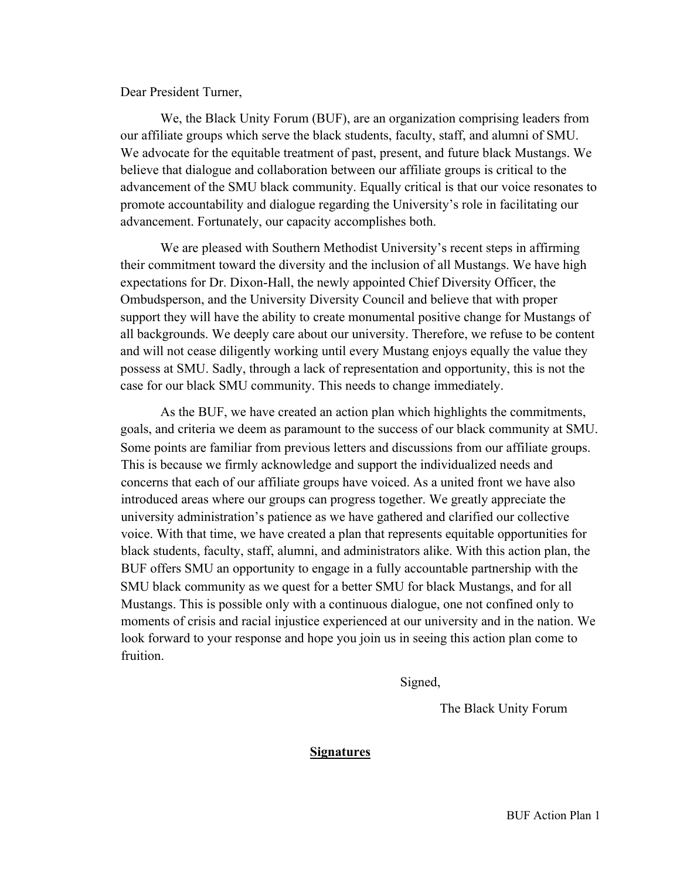Dear President Turner,

We, the Black Unity Forum (BUF), are an organization comprising leaders from our affiliate groups which serve the black students, faculty, staff, and alumni of SMU. We advocate for the equitable treatment of past, present, and future black Mustangs. We believe that dialogue and collaboration between our affiliate groups is critical to the advancement of the SMU black community. Equally critical is that our voice resonates to promote accountability and dialogue regarding the University's role in facilitating our advancement. Fortunately, our capacity accomplishes both.

We are pleased with Southern Methodist University's recent steps in affirming their commitment toward the diversity and the inclusion of all Mustangs. We have high expectations for Dr. Dixon-Hall, the newly appointed Chief Diversity Officer, the Ombudsperson, and the University Diversity Council and believe that with proper support they will have the ability to create monumental positive change for Mustangs of all backgrounds. We deeply care about our university. Therefore, we refuse to be content and will not cease diligently working until every Mustang enjoys equally the value they possess at SMU. Sadly, through a lack of representation and opportunity, this is not the case for our black SMU community. This needs to change immediately.

As the BUF, we have created an action plan which highlights the commitments, goals, and criteria we deem as paramount to the success of our black community at SMU. Some points are familiar from previous letters and discussions from our affiliate groups. This is because we firmly acknowledge and support the individualized needs and concerns that each of our affiliate groups have voiced. As a united front we have also introduced areas where our groups can progress together. We greatly appreciate the university administration's patience as we have gathered and clarified our collective voice. With that time, we have created a plan that represents equitable opportunities for black students, faculty, staff, alumni, and administrators alike. With this action plan, the BUF offers SMU an opportunity to engage in a fully accountable partnership with the SMU black community as we quest for a better SMU for black Mustangs, and for all Mustangs. This is possible only with a continuous dialogue, one not confined only to moments of crisis and racial injustice experienced at our university and in the nation. We look forward to your response and hope you join us in seeing this action plan come to fruition.

Signed,

The Black Unity Forum

#### **Signatures**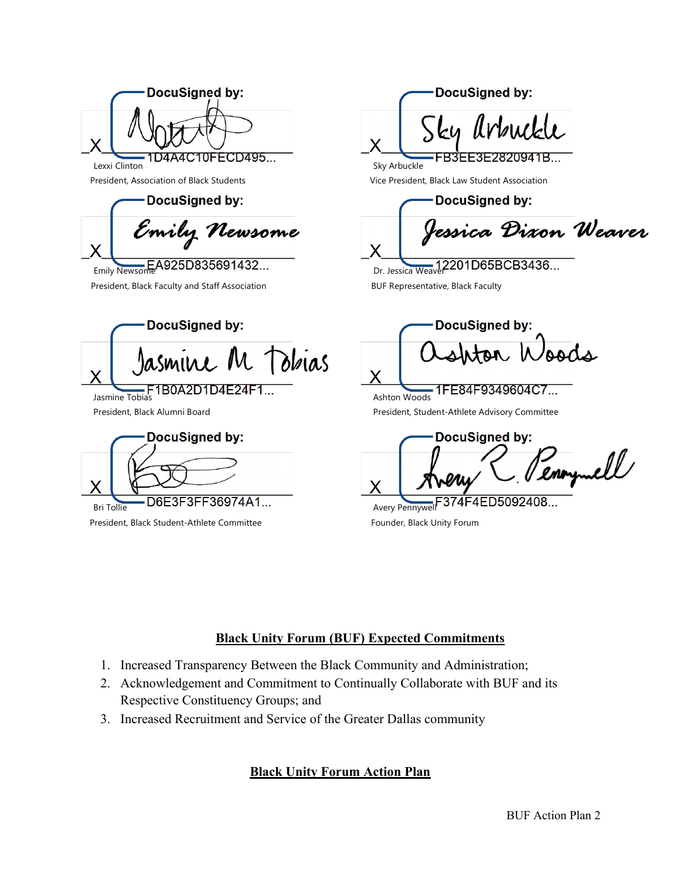**DocuSigned by:** X D4A4C10FECD495... Lexxi Clinton

DocuSigned by:

Emily Newsome X

President, Black Faculty and Staff Association **BUF Representative, Black Faculty** EA925D835691432...

DocuSigned by: asmine M Tobias X Jasmine Tobias

President, Black Alumni Board

**DocuSigned by:** X D6E3F3FF36974A1... Bri Tollie

President, Black Student-Athlete Committee Founder, Black Unity Forum

**DocuSigned by:** ku Arbuck X FB3EE3E2820941B...

President, Association of Black Students Vice President, Black Law Student Association

Sky Arbuckle

DocuSigned by:

<sup>l</sup>essica Dixon Weaver X

Dr. Jessica Weaver

**DocuSigned by:** nton Woods X

1FE84F9349604C7... Ashton Woods President, Student-Athlete Advisory Committee

**DocuSigned by:** enoymell X

374F4ED5092408. Avery Pennywell

# **Black Unity Forum (BUF) Expected Commitments**

- 1. Increased Transparency Between the Black Community and Administration;
- 2. Acknowledgement and Commitment to Continually Collaborate with BUF and its Respective Constituency Groups; and
- 3. Increased Recruitment and Service of the Greater Dallas community

# **Black Unity Forum Action Plan**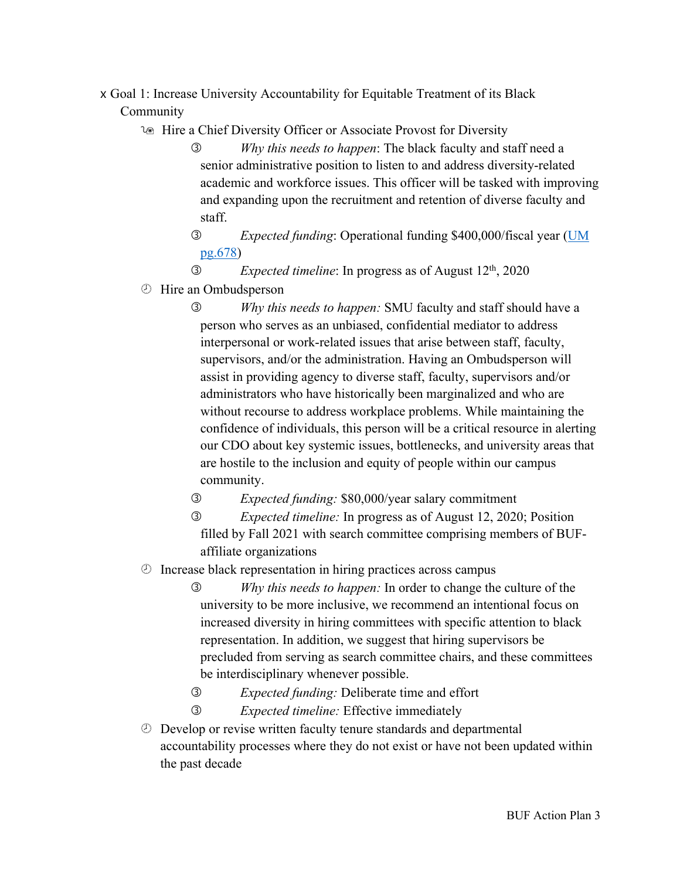#### x Goal 1: Increase University Accountability for Equitable Treatment of its Black Community

1<sup>®</sup> Hire a Chief Diversity Officer or Associate Provost for Diversity

- *Why this needs to happen*: The black faculty and staff need a senior administrative position to listen to and address diversity-related academic and workforce issues. This officer will be tasked with improving and expanding upon the recruitment and retention of diverse faculty and staff.
- *Expected funding*: Operational funding \$400,000/fiscal year (UM pg.678)

```
 Expected timeline: In progress as of August 12th, 2020
```
- ¾ Hire an Ombudsperson
	- *Why this needs to happen:* SMU faculty and staff should have a person who serves as an unbiased, confidential mediator to address interpersonal or work-related issues that arise between staff, faculty, supervisors, and/or the administration. Having an Ombudsperson will assist in providing agency to diverse staff, faculty, supervisors and/or administrators who have historically been marginalized and who are without recourse to address workplace problems. While maintaining the confidence of individuals, this person will be a critical resource in alerting our CDO about key systemic issues, bottlenecks, and university areas that are hostile to the inclusion and equity of people within our campus community.

*Expected funding:* \$80,000/year salary commitment

- *Expected timeline:* In progress as of August 12, 2020; Position filled by Fall 2021 with search committee comprising members of BUFaffiliate organizations
- ¾ Increase black representation in hiring practices across campus
	- *Why this needs to happen:* In order to change the culture of the university to be more inclusive, we recommend an intentional focus on increased diversity in hiring committees with specific attention to black representation. In addition, we suggest that hiring supervisors be precluded from serving as search committee chairs, and these committees be interdisciplinary whenever possible.
	- *Expected funding:* Deliberate time and effort
	- *Expected timeline:* Effective immediately
- ¾ Develop or revise written faculty tenure standards and departmental accountability processes where they do not exist or have not been updated within the past decade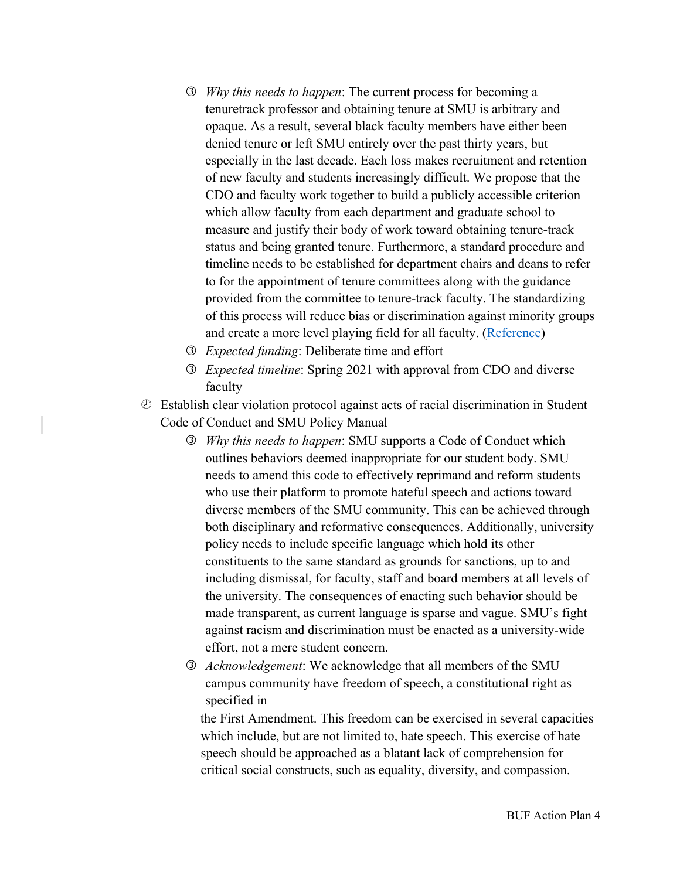- *Why this needs to happen*: The current process for becoming a tenuretrack professor and obtaining tenure at SMU is arbitrary and opaque. As a result, several black faculty members have either been denied tenure or left SMU entirely over the past thirty years, but especially in the last decade. Each loss makes recruitment and retention of new faculty and students increasingly difficult. We propose that the CDO and faculty work together to build a publicly accessible criterion which allow faculty from each department and graduate school to measure and justify their body of work toward obtaining tenure-track status and being granted tenure. Furthermore, a standard procedure and timeline needs to be established for department chairs and deans to refer to for the appointment of tenure committees along with the guidance provided from the committee to tenure-track faculty. The standardizing of this process will reduce bias or discrimination against minority groups and create a more level playing field for all faculty. (Reference)
- *Expected funding*: Deliberate time and effort
- *Expected timeline*: Spring 2021 with approval from CDO and diverse faculty
- ¾ Establish clear violation protocol against acts of racial discrimination in Student Code of Conduct and SMU Policy Manual
	- *Why this needs to happen*: SMU supports a Code of Conduct which outlines behaviors deemed inappropriate for our student body. SMU needs to amend this code to effectively reprimand and reform students who use their platform to promote hateful speech and actions toward diverse members of the SMU community. This can be achieved through both disciplinary and reformative consequences. Additionally, university policy needs to include specific language which hold its other constituents to the same standard as grounds for sanctions, up to and including dismissal, for faculty, staff and board members at all levels of the university. The consequences of enacting such behavior should be made transparent, as current language is sparse and vague. SMU's fight against racism and discrimination must be enacted as a university-wide effort, not a mere student concern.
	- *Acknowledgement*: We acknowledge that all members of the SMU campus community have freedom of speech, a constitutional right as specified in

the First Amendment. This freedom can be exercised in several capacities which include, but are not limited to, hate speech. This exercise of hate speech should be approached as a blatant lack of comprehension for critical social constructs, such as equality, diversity, and compassion.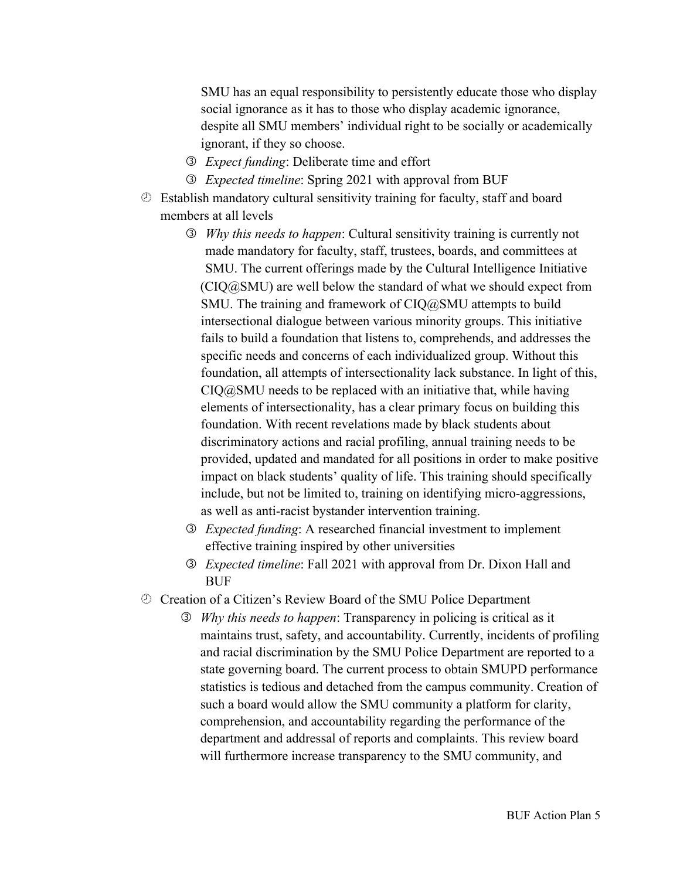SMU has an equal responsibility to persistently educate those who display social ignorance as it has to those who display academic ignorance, despite all SMU members' individual right to be socially or academically ignorant, if they so choose.

- *Expect funding*: Deliberate time and effort
- *Expected timeline*: Spring 2021 with approval from BUF
- $\circled{E}$  Establish mandatory cultural sensitivity training for faculty, staff and board members at all levels
	- *Why this needs to happen*: Cultural sensitivity training is currently not made mandatory for faculty, staff, trustees, boards, and committees at SMU. The current offerings made by the Cultural Intelligence Initiative (CIQ@SMU) are well below the standard of what we should expect from SMU. The training and framework of CIQ@SMU attempts to build intersectional dialogue between various minority groups. This initiative fails to build a foundation that listens to, comprehends, and addresses the specific needs and concerns of each individualized group. Without this foundation, all attempts of intersectionality lack substance. In light of this,  $CIQ@SMU$  needs to be replaced with an initiative that, while having elements of intersectionality, has a clear primary focus on building this foundation. With recent revelations made by black students about discriminatory actions and racial profiling, annual training needs to be provided, updated and mandated for all positions in order to make positive impact on black students' quality of life. This training should specifically include, but not be limited to, training on identifying micro-aggressions, as well as anti-racist bystander intervention training.
	- *Expected funding*: A researched financial investment to implement effective training inspired by other universities
	- *Expected timeline*: Fall 2021 with approval from Dr. Dixon Hall and **BUF**
- ¾ Creation of a Citizen's Review Board of the SMU Police Department
	- *Why this needs to happen*: Transparency in policing is critical as it maintains trust, safety, and accountability. Currently, incidents of profiling and racial discrimination by the SMU Police Department are reported to a state governing board. The current process to obtain SMUPD performance statistics is tedious and detached from the campus community. Creation of such a board would allow the SMU community a platform for clarity, comprehension, and accountability regarding the performance of the department and addressal of reports and complaints. This review board will furthermore increase transparency to the SMU community, and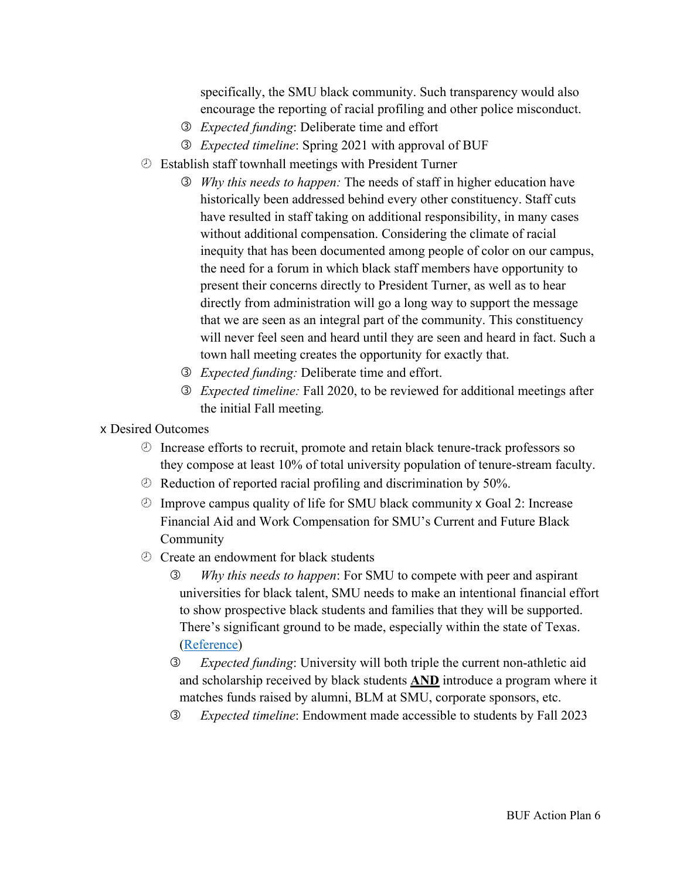specifically, the SMU black community. Such transparency would also encourage the reporting of racial profiling and other police misconduct.

- *Expected funding*: Deliberate time and effort
- *Expected timeline*: Spring 2021 with approval of BUF
- ¾ Establish staff townhall meetings with President Turner
	- *Why this needs to happen:* The needs of staff in higher education have historically been addressed behind every other constituency. Staff cuts have resulted in staff taking on additional responsibility, in many cases without additional compensation. Considering the climate of racial inequity that has been documented among people of color on our campus, the need for a forum in which black staff members have opportunity to present their concerns directly to President Turner, as well as to hear directly from administration will go a long way to support the message that we are seen as an integral part of the community. This constituency will never feel seen and heard until they are seen and heard in fact. Such a town hall meeting creates the opportunity for exactly that.
	- *Expected funding:* Deliberate time and effort.
	- *Expected timeline:* Fall 2020, to be reviewed for additional meetings after the initial Fall meeting*.*
- x Desired Outcomes
	- ¾ Increase efforts to recruit, promote and retain black tenure-track professors so they compose at least 10% of total university population of tenure-stream faculty.
	- $\circled{e}$  Reduction of reported racial profiling and discrimination by 50%.
	- $\circled{2}$  Improve campus quality of life for SMU black community x Goal 2: Increase Financial Aid and Work Compensation for SMU's Current and Future Black Community
	- ¾ Create an endowment for black students
		- *Why this needs to happen*: For SMU to compete with peer and aspirant universities for black talent, SMU needs to make an intentional financial effort to show prospective black students and families that they will be supported. There's significant ground to be made, especially within the state of Texas. (Reference)
		- *Expected funding*: University will both triple the current non-athletic aid and scholarship received by black students **AND** introduce a program where it matches funds raised by alumni, BLM at SMU, corporate sponsors, etc.
		- *Expected timeline*: Endowment made accessible to students by Fall 2023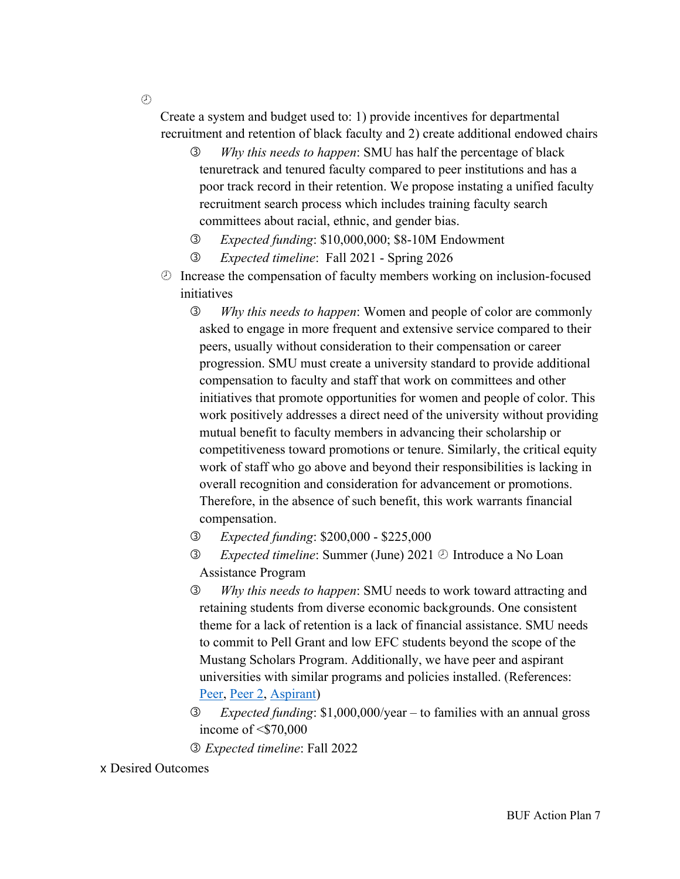Create a system and budget used to: 1) provide incentives for departmental recruitment and retention of black faculty and 2) create additional endowed chairs

- *Why this needs to happen*: SMU has half the percentage of black tenuretrack and tenured faculty compared to peer institutions and has a poor track record in their retention. We propose instating a unified faculty recruitment search process which includes training faculty search committees about racial, ethnic, and gender bias.
- *Expected funding*: \$10,000,000; \$8-10M Endowment
- *Expected timeline*: Fall 2021 Spring 2026
- ¾ Increase the compensation of faculty members working on inclusion-focused initiatives
	- *Why this needs to happen*: Women and people of color are commonly asked to engage in more frequent and extensive service compared to their peers, usually without consideration to their compensation or career progression. SMU must create a university standard to provide additional compensation to faculty and staff that work on committees and other initiatives that promote opportunities for women and people of color. This work positively addresses a direct need of the university without providing mutual benefit to faculty members in advancing their scholarship or competitiveness toward promotions or tenure. Similarly, the critical equity work of staff who go above and beyond their responsibilities is lacking in overall recognition and consideration for advancement or promotions. Therefore, in the absence of such benefit, this work warrants financial compensation.
	- *Expected funding*: \$200,000 \$225,000
	- *Expected timeline*: Summer (June) 2021 ¾ Introduce a No Loan Assistance Program
	- *Why this needs to happen*: SMU needs to work toward attracting and retaining students from diverse economic backgrounds. One consistent theme for a lack of retention is a lack of financial assistance. SMU needs to commit to Pell Grant and low EFC students beyond the scope of the Mustang Scholars Program. Additionally, we have peer and aspirant universities with similar programs and policies installed. (References: Peer, Peer 2, Aspirant)
	- *Expected funding*: \$1,000,000/year to families with an annual gross income of <\$70,000
	- *Expected timeline*: Fall 2022

x Desired Outcomes

 $\mathcal{O}$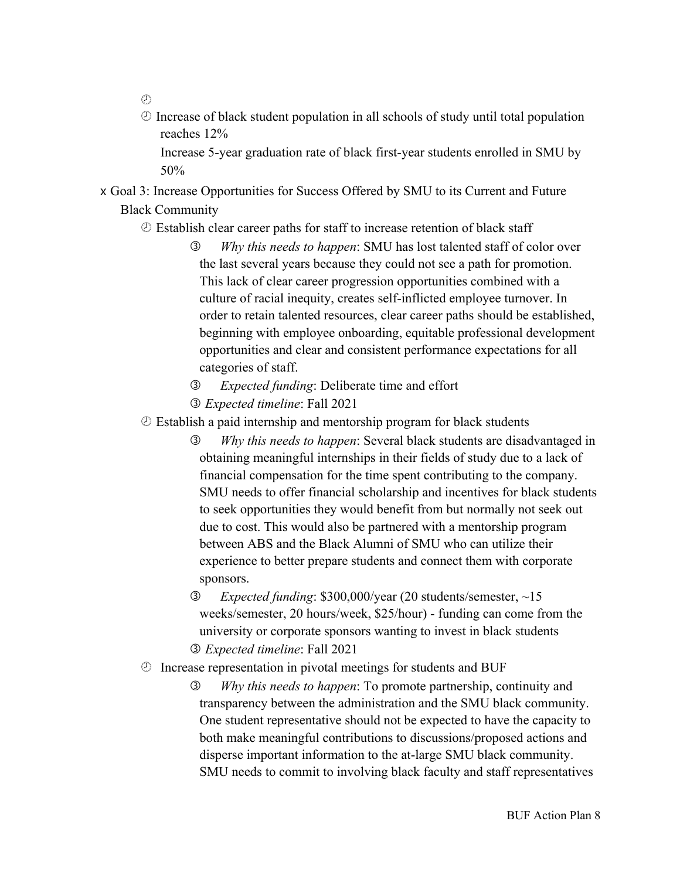- $\mathcal{O}$
- $\circled{2}$  Increase of black student population in all schools of study until total population reaches 12%

Increase 5-year graduation rate of black first-year students enrolled in SMU by 50%

x Goal 3: Increase Opportunities for Success Offered by SMU to its Current and Future Black Community

### ¾ Establish clear career paths for staff to increase retention of black staff

- *Why this needs to happen*: SMU has lost talented staff of color over the last several years because they could not see a path for promotion. This lack of clear career progression opportunities combined with a culture of racial inequity, creates self-inflicted employee turnover. In order to retain talented resources, clear career paths should be established, beginning with employee onboarding, equitable professional development opportunities and clear and consistent performance expectations for all categories of staff.
- *Expected funding*: Deliberate time and effort
- *Expected timeline*: Fall 2021
- ¾ Establish a paid internship and mentorship program for black students
	- *Why this needs to happen*: Several black students are disadvantaged in obtaining meaningful internships in their fields of study due to a lack of financial compensation for the time spent contributing to the company. SMU needs to offer financial scholarship and incentives for black students to seek opportunities they would benefit from but normally not seek out due to cost. This would also be partnered with a mentorship program between ABS and the Black Alumni of SMU who can utilize their experience to better prepare students and connect them with corporate sponsors.
	- *Expected funding*: \$300,000/year (20 students/semester, ~15 weeks/semester, 20 hours/week, \$25/hour) - funding can come from the university or corporate sponsors wanting to invest in black students *Expected timeline*: Fall 2021
- ¾ Increase representation in pivotal meetings for students and BUF
	- *Why this needs to happen*: To promote partnership, continuity and transparency between the administration and the SMU black community. One student representative should not be expected to have the capacity to both make meaningful contributions to discussions/proposed actions and disperse important information to the at-large SMU black community. SMU needs to commit to involving black faculty and staff representatives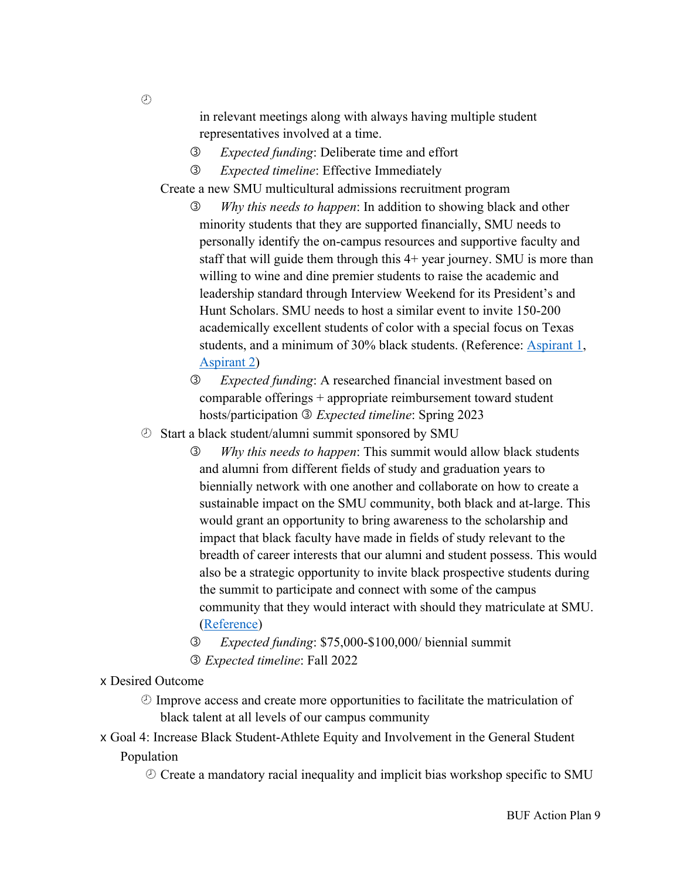in relevant meetings along with always having multiple student representatives involved at a time.

- *Expected funding*: Deliberate time and effort
- *Expected timeline*: Effective Immediately

Create a new SMU multicultural admissions recruitment program

 *Why this needs to happen*: In addition to showing black and other minority students that they are supported financially, SMU needs to personally identify the on-campus resources and supportive faculty and staff that will guide them through this 4+ year journey. SMU is more than willing to wine and dine premier students to raise the academic and leadership standard through Interview Weekend for its President's and Hunt Scholars. SMU needs to host a similar event to invite 150-200 academically excellent students of color with a special focus on Texas students, and a minimum of 30% black students. (Reference: **Aspirant 1**, Aspirant 2)

 *Expected funding*: A researched financial investment based on comparable offerings + appropriate reimbursement toward student hosts/participation *Expected timeline*: Spring 2023

¾ Start a black student/alumni summit sponsored by SMU

 *Why this needs to happen*: This summit would allow black students and alumni from different fields of study and graduation years to biennially network with one another and collaborate on how to create a sustainable impact on the SMU community, both black and at-large. This would grant an opportunity to bring awareness to the scholarship and impact that black faculty have made in fields of study relevant to the breadth of career interests that our alumni and student possess. This would also be a strategic opportunity to invite black prospective students during the summit to participate and connect with some of the campus community that they would interact with should they matriculate at SMU. (Reference)

- *Expected funding*: \$75,000-\$100,000/ biennial summit
- *Expected timeline*: Fall 2022

### x Desired Outcome

- $\circled{1}$  Improve access and create more opportunities to facilitate the matriculation of black talent at all levels of our campus community
- x Goal 4: Increase Black Student-Athlete Equity and Involvement in the General Student Population
	- ¾ Create a mandatory racial inequality and implicit bias workshop specific to SMU

 $(1)$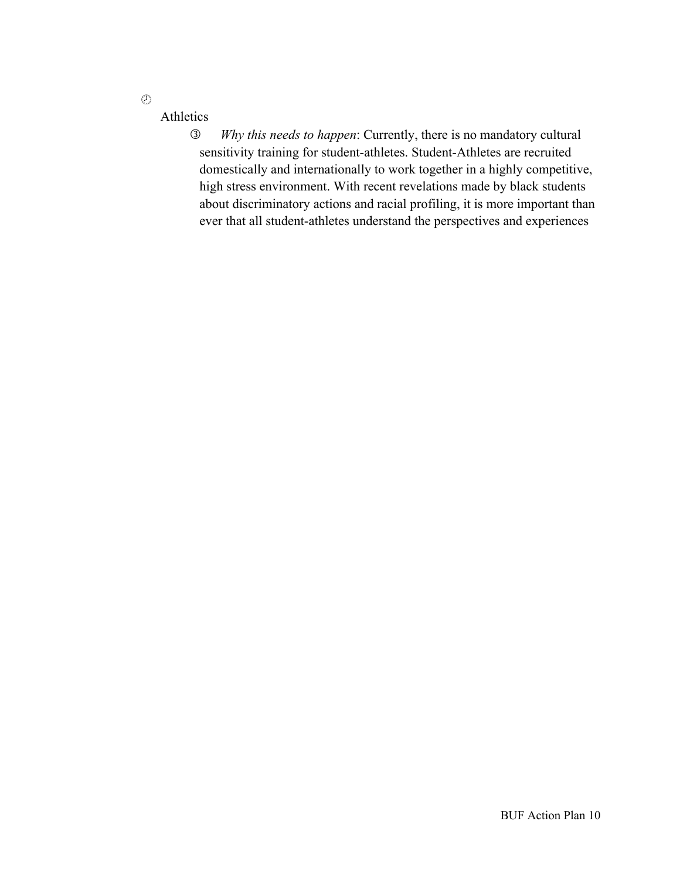$\odot$ 

# Athletics

 *Why this needs to happen*: Currently, there is no mandatory cultural sensitivity training for student-athletes. Student-Athletes are recruited domestically and internationally to work together in a highly competitive, high stress environment. With recent revelations made by black students about discriminatory actions and racial profiling, it is more important than ever that all student-athletes understand the perspectives and experiences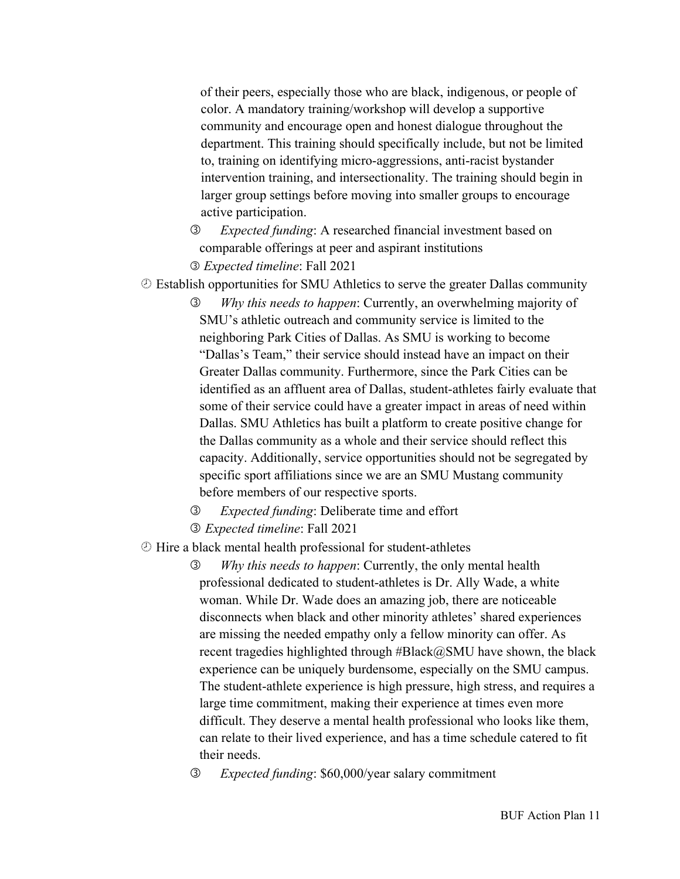of their peers, especially those who are black, indigenous, or people of color. A mandatory training/workshop will develop a supportive community and encourage open and honest dialogue throughout the department. This training should specifically include, but not be limited to, training on identifying micro-aggressions, anti-racist bystander intervention training, and intersectionality. The training should begin in larger group settings before moving into smaller groups to encourage active participation.

- *Expected funding*: A researched financial investment based on comparable offerings at peer and aspirant institutions *Expected timeline*: Fall 2021
- ¾ Establish opportunities for SMU Athletics to serve the greater Dallas community
	- *Why this needs to happen*: Currently, an overwhelming majority of SMU's athletic outreach and community service is limited to the neighboring Park Cities of Dallas. As SMU is working to become "Dallas's Team," their service should instead have an impact on their Greater Dallas community. Furthermore, since the Park Cities can be identified as an affluent area of Dallas, student-athletes fairly evaluate that some of their service could have a greater impact in areas of need within Dallas. SMU Athletics has built a platform to create positive change for the Dallas community as a whole and their service should reflect this capacity. Additionally, service opportunities should not be segregated by specific sport affiliations since we are an SMU Mustang community before members of our respective sports.
	- *Expected funding*: Deliberate time and effort
	- *Expected timeline*: Fall 2021
- ¾ Hire a black mental health professional for student-athletes
	- *Why this needs to happen*: Currently, the only mental health professional dedicated to student-athletes is Dr. Ally Wade, a white woman. While Dr. Wade does an amazing job, there are noticeable disconnects when black and other minority athletes' shared experiences are missing the needed empathy only a fellow minority can offer. As recent tragedies highlighted through #Black@SMU have shown, the black experience can be uniquely burdensome, especially on the SMU campus. The student-athlete experience is high pressure, high stress, and requires a large time commitment, making their experience at times even more difficult. They deserve a mental health professional who looks like them, can relate to their lived experience, and has a time schedule catered to fit their needs.
	- *Expected funding*: \$60,000/year salary commitment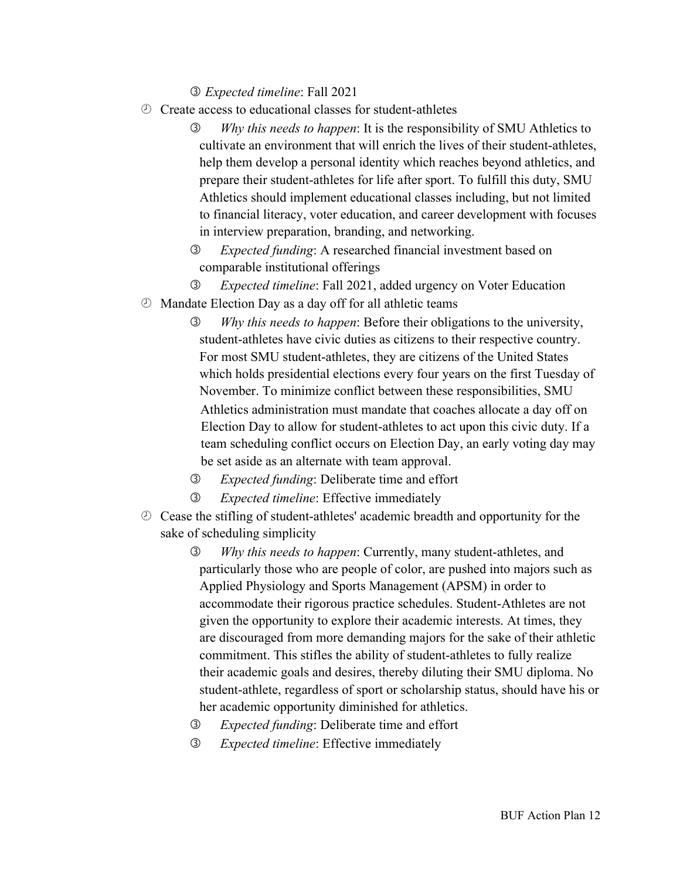*Expected timeline*: Fall 2021

- ¾ Create access to educational classes for student-athletes
	- *Why this needs to happen*: It is the responsibility of SMU Athletics to cultivate an environment that will enrich the lives of their student-athletes, help them develop a personal identity which reaches beyond athletics, and prepare their student-athletes for life after sport. To fulfill this duty, SMU Athletics should implement educational classes including, but not limited to financial literacy, voter education, and career development with focuses in interview preparation, branding, and networking.
	- *Expected funding*: A researched financial investment based on comparable institutional offerings
	- *Expected timeline*: Fall 2021, added urgency on Voter Education
- ¾ Mandate Election Day as a day off for all athletic teams
	- *Why this needs to happen*: Before their obligations to the university, student-athletes have civic duties as citizens to their respective country. For most SMU student-athletes, they are citizens of the United States which holds presidential elections every four years on the first Tuesday of November. To minimize conflict between these responsibilities, SMU Athletics administration must mandate that coaches allocate a day off on Election Day to allow for student-athletes to act upon this civic duty. If a team scheduling conflict occurs on Election Day, an early voting day may be set aside as an alternate with team approval.
	- *Expected funding*: Deliberate time and effort
	- *Expected timeline*: Effective immediately
- ¾ Cease the stifling of student-athletes' academic breadth and opportunity for the sake of scheduling simplicity
	- *Why this needs to happen*: Currently, many student-athletes, and particularly those who are people of color, are pushed into majors such as Applied Physiology and Sports Management (APSM) in order to accommodate their rigorous practice schedules. Student-Athletes are not given the opportunity to explore their academic interests. At times, they are discouraged from more demanding majors for the sake of their athletic commitment. This stifles the ability of student-athletes to fully realize their academic goals and desires, thereby diluting their SMU diploma. No student-athlete, regardless of sport or scholarship status, should have his or her academic opportunity diminished for athletics.
	- *Expected funding*: Deliberate time and effort
	- *Expected timeline*: Effective immediately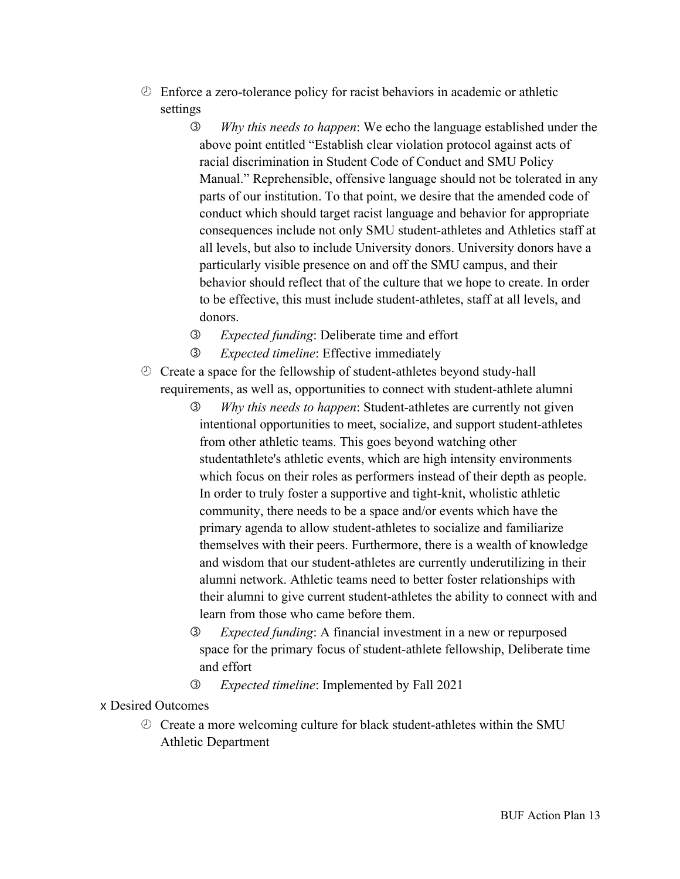- ¾ Enforce a zero-tolerance policy for racist behaviors in academic or athletic settings
	- *Why this needs to happen*: We echo the language established under the above point entitled "Establish clear violation protocol against acts of racial discrimination in Student Code of Conduct and SMU Policy Manual." Reprehensible, offensive language should not be tolerated in any parts of our institution. To that point, we desire that the amended code of conduct which should target racist language and behavior for appropriate consequences include not only SMU student-athletes and Athletics staff at all levels, but also to include University donors. University donors have a particularly visible presence on and off the SMU campus, and their behavior should reflect that of the culture that we hope to create. In order to be effective, this must include student-athletes, staff at all levels, and donors.
	- *Expected funding*: Deliberate time and effort
	- *Expected timeline*: Effective immediately
- ¾ Create a space for the fellowship of student-athletes beyond study-hall requirements, as well as, opportunities to connect with student-athlete alumni
	- *Why this needs to happen*: Student-athletes are currently not given intentional opportunities to meet, socialize, and support student-athletes from other athletic teams. This goes beyond watching other studentathlete's athletic events, which are high intensity environments which focus on their roles as performers instead of their depth as people. In order to truly foster a supportive and tight-knit, wholistic athletic community, there needs to be a space and/or events which have the primary agenda to allow student-athletes to socialize and familiarize themselves with their peers. Furthermore, there is a wealth of knowledge and wisdom that our student-athletes are currently underutilizing in their alumni network. Athletic teams need to better foster relationships with their alumni to give current student-athletes the ability to connect with and learn from those who came before them.
	- *Expected funding*: A financial investment in a new or repurposed space for the primary focus of student-athlete fellowship, Deliberate time and effort
	- *Expected timeline*: Implemented by Fall 2021

x Desired Outcomes

¾ Create a more welcoming culture for black student-athletes within the SMU Athletic Department